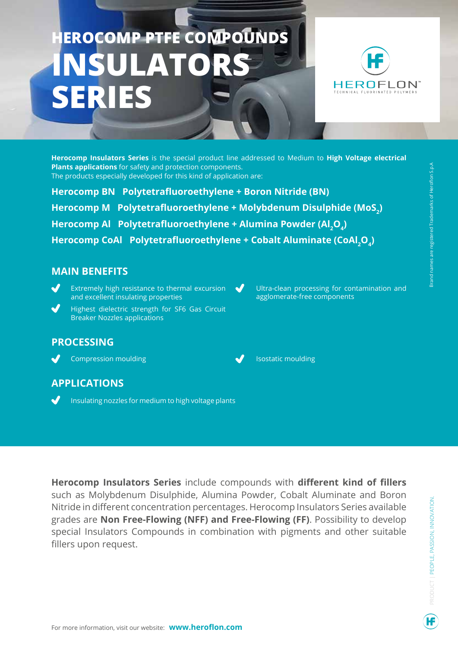## **HEROCOMP PTFE COMPOUNDS INSULATO SERIES**



**Herocomp Insulators Series** is the special product line addressed to Medium to **High Voltage electrical Plants applications** for safety and protection components. The products especially developed for this kind of application are:

 $\blacktriangledown$ 

**Herocomp BN Polytetrafluoroethylene + Boron Nitride (BN) Herocomp M Polytetrafluoroethylene + Molybdenum Disulphide (MoS<sup>2</sup> )**  Herocomp Al Polytetrafluoroethylene + Alumina Powder (Al<sub>2</sub>O<sub>4</sub>) **Herocomp CoAl Polytetrafluoroethylene + Cobalt Aluminate (CoAl<sup>2</sup> O4 )**

## **MAIN BENEFITS**

- Extremely high resistance to thermal excursion and excellent insulating properties
- Highest dielectric strength for SF6 Gas Circuit Breaker Nozzles applications

## **PROCESSING**

J

Compression moulding



Ultra-clean processing for contamination and

agglomerate-free components

## **APPLICATIONS**

Insulating nozzles for medium to high voltage plants

**Herocomp Insulators Series** include compounds with **different kind of fillers** such as Molybdenum Disulphide, Alumina Powder, Cobalt Aluminate and Boron Nitride in different concentration percentages. Herocomp Insulators Series available grades are **Non Free-Flowing (NFF) and Free-Flowing (FF)**. Possibility to develop special Insulators Compounds in combination with pigments and other suitable fillers upon request.